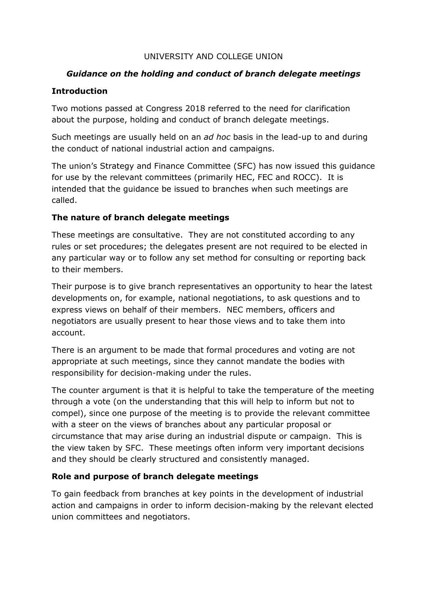#### UNIVERSITY AND COLLEGE UNION

## *Guidance on the holding and conduct of branch delegate meetings*

### **Introduction**

Two motions passed at Congress 2018 referred to the need for clarification about the purpose, holding and conduct of branch delegate meetings.

Such meetings are usually held on an *ad hoc* basis in the lead-up to and during the conduct of national industrial action and campaigns.

The union's Strategy and Finance Committee (SFC) has now issued this guidance for use by the relevant committees (primarily HEC, FEC and ROCC). It is intended that the guidance be issued to branches when such meetings are called.

### **The nature of branch delegate meetings**

These meetings are consultative. They are not constituted according to any rules or set procedures; the delegates present are not required to be elected in any particular way or to follow any set method for consulting or reporting back to their members.

Their purpose is to give branch representatives an opportunity to hear the latest developments on, for example, national negotiations, to ask questions and to express views on behalf of their members. NEC members, officers and negotiators are usually present to hear those views and to take them into account.

There is an argument to be made that formal procedures and voting are not appropriate at such meetings, since they cannot mandate the bodies with responsibility for decision-making under the rules.

The counter argument is that it is helpful to take the temperature of the meeting through a vote (on the understanding that this will help to inform but not to compel), since one purpose of the meeting is to provide the relevant committee with a steer on the views of branches about any particular proposal or circumstance that may arise during an industrial dispute or campaign. This is the view taken by SFC. These meetings often inform very important decisions and they should be clearly structured and consistently managed.

# **Role and purpose of branch delegate meetings**

To gain feedback from branches at key points in the development of industrial action and campaigns in order to inform decision-making by the relevant elected union committees and negotiators.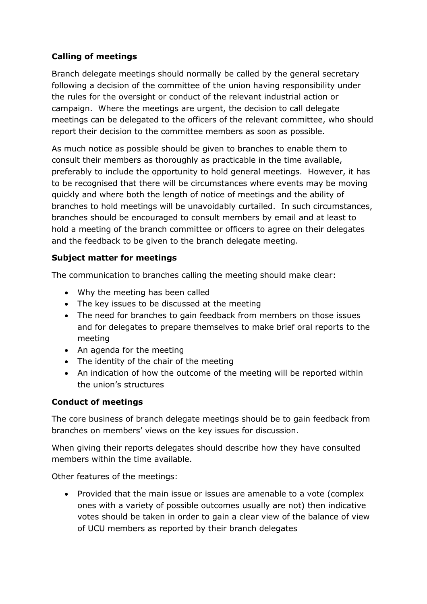# **Calling of meetings**

Branch delegate meetings should normally be called by the general secretary following a decision of the committee of the union having responsibility under the rules for the oversight or conduct of the relevant industrial action or campaign. Where the meetings are urgent, the decision to call delegate meetings can be delegated to the officers of the relevant committee, who should report their decision to the committee members as soon as possible.

As much notice as possible should be given to branches to enable them to consult their members as thoroughly as practicable in the time available, preferably to include the opportunity to hold general meetings. However, it has to be recognised that there will be circumstances where events may be moving quickly and where both the length of notice of meetings and the ability of branches to hold meetings will be unavoidably curtailed. In such circumstances, branches should be encouraged to consult members by email and at least to hold a meeting of the branch committee or officers to agree on their delegates and the feedback to be given to the branch delegate meeting.

### **Subject matter for meetings**

The communication to branches calling the meeting should make clear:

- Why the meeting has been called
- The key issues to be discussed at the meeting
- The need for branches to gain feedback from members on those issues and for delegates to prepare themselves to make brief oral reports to the meeting
- An agenda for the meeting
- The identity of the chair of the meeting
- An indication of how the outcome of the meeting will be reported within the union's structures

### **Conduct of meetings**

The core business of branch delegate meetings should be to gain feedback from branches on members' views on the key issues for discussion.

When giving their reports delegates should describe how they have consulted members within the time available.

Other features of the meetings:

• Provided that the main issue or issues are amenable to a vote (complex ones with a variety of possible outcomes usually are not) then indicative votes should be taken in order to gain a clear view of the balance of view of UCU members as reported by their branch delegates